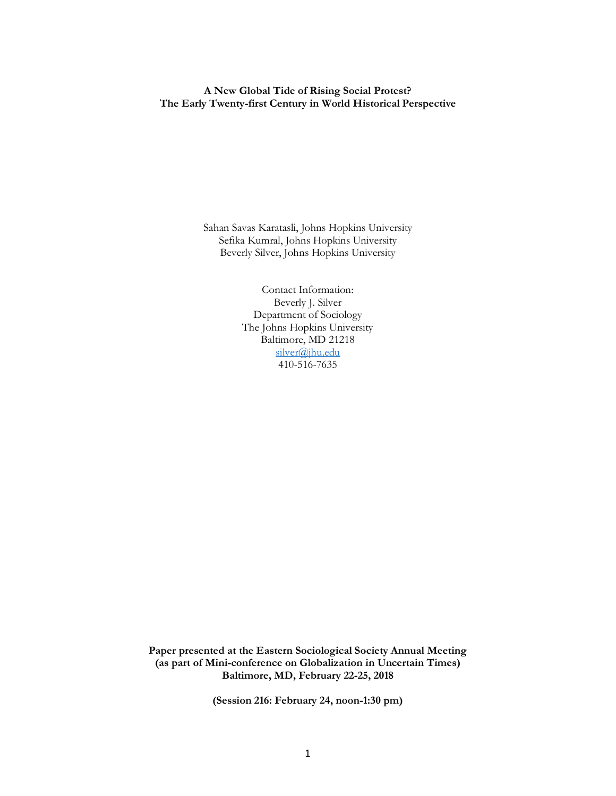## **A New Global Tide of Rising Social Protest? The Early Twenty-first Century in World Historical Perspective**

Sahan Savas Karatasli, Johns Hopkins University Sefika Kumral, Johns Hopkins University Beverly Silver, Johns Hopkins University

> Contact Information: Beverly J. Silver Department of Sociology The Johns Hopkins University Baltimore, MD 21218 silver@jhu.edu 410-516-7635

**Paper presented at the Eastern Sociological Society Annual Meeting (as part of Mini-conference on Globalization in Uncertain Times) Baltimore, MD, February 22-25, 2018**

**(Session 216: February 24, noon-1:30 pm)**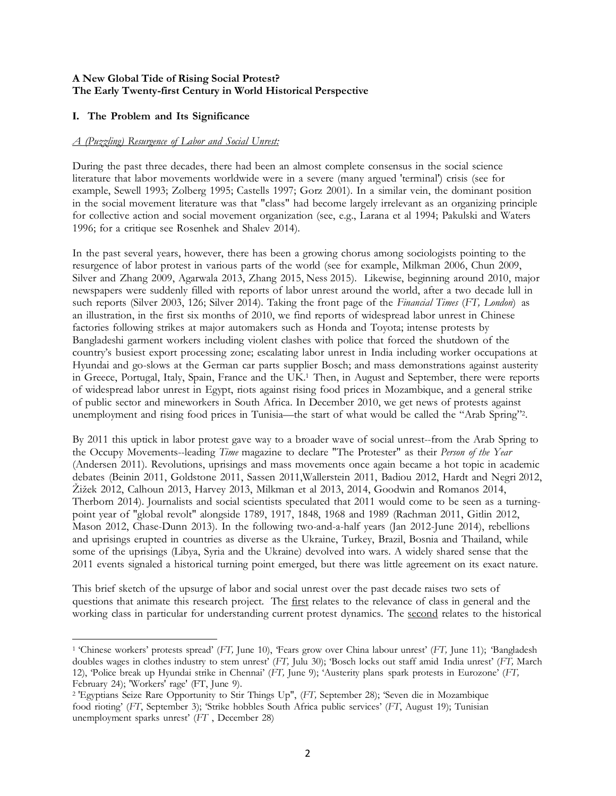## **A New Global Tide of Rising Social Protest? The Early Twenty-first Century in World Historical Perspective**

## **I. The Problem and Its Significance**

 $\overline{a}$ 

## *A (Puzzling) Resurgence of Labor and Social Unrest:*

During the past three decades, there had been an almost complete consensus in the social science literature that labor movements worldwide were in a severe (many argued 'terminal') crisis (see for example, Sewell 1993; Zolberg 1995; Castells 1997; Gorz 2001). In a similar vein, the dominant position in the social movement literature was that "class" had become largely irrelevant as an organizing principle for collective action and social movement organization (see, e.g., Larana et al 1994; Pakulski and Waters 1996; for a critique see Rosenhek and Shalev 2014).

In the past several years, however, there has been a growing chorus among sociologists pointing to the resurgence of labor protest in various parts of the world (see for example, Milkman 2006, Chun 2009, Silver and Zhang 2009, Agarwala 2013, Zhang 2015, Ness 2015). Likewise, beginning around 2010, major newspapers were suddenly filled with reports of labor unrest around the world, after a two decade lull in such reports (Silver 2003, 126; Silver 2014). Taking the front page of the *Financial Times* (*FT, London*) as an illustration, in the first six months of 2010, we find reports of widespread labor unrest in Chinese factories following strikes at major automakers such as Honda and Toyota; intense protests by Bangladeshi garment workers including violent clashes with police that forced the shutdown of the country's busiest export processing zone; escalating labor unrest in India including worker occupations at Hyundai and go-slows at the German car parts supplier Bosch; and mass demonstrations against austerity in Greece, Portugal, Italy, Spain, France and the UK.1 Then, in August and September, there were reports of widespread labor unrest in Egypt, riots against rising food prices in Mozambique, and a general strike of public sector and mineworkers in South Africa. In December 2010, we get news of protests against unemployment and rising food prices in Tunisia—the start of what would be called the "Arab Spring"2.

By 2011 this uptick in labor protest gave way to a broader wave of social unrest--from the Arab Spring to the Occupy Movements--leading *Time* magazine to declare "The Protester" as their *Person of the Year* (Andersen 2011). Revolutions, uprisings and mass movements once again became a hot topic in academic debates (Beinin 2011, Goldstone 2011, Sassen 2011,Wallerstein 2011, Badiou 2012, Hardt and Negri 2012, Žižek 2012, Calhoun 2013, Harvey 2013, Milkman et al 2013, 2014, Goodwin and Romanos 2014, Therborn 2014). Journalists and social scientists speculated that 2011 would come to be seen as a turningpoint year of "global revolt" alongside 1789, 1917, 1848, 1968 and 1989 (Rachman 2011, Gitlin 2012, Mason 2012, Chase-Dunn 2013). In the following two-and-a-half years (Jan 2012-June 2014), rebellions and uprisings erupted in countries as diverse as the Ukraine, Turkey, Brazil, Bosnia and Thailand, while some of the uprisings (Libya, Syria and the Ukraine) devolved into wars. A widely shared sense that the 2011 events signaled a historical turning point emerged, but there was little agreement on its exact nature.

This brief sketch of the upsurge of labor and social unrest over the past decade raises two sets of questions that animate this research project. The <u>first</u> relates to the relevance of class in general and the working class in particular for understanding current protest dynamics. The second relates to the historical

<sup>1</sup> 'Chinese workers' protests spread' (*FT,* June 10), 'Fears grow over China labour unrest' (*FT,* June 11); 'Bangladesh doubles wages in clothes industry to stem unrest' (*FT,* Julu 30); 'Bosch locks out staff amid India unrest' (*FT,* March 12), 'Police break up Hyundai strike in Chennai' (*FT,* June 9); 'Austerity plans spark protests in Eurozone' (*FT,* February 24); 'Workers' rage' (FT, June 9).

<sup>2</sup> 'Egyptians Seize Rare Opportunity to Stir Things Up", (*FT,* September 28); 'Seven die in Mozambique food rioting' (*FT*, September 3); 'Strike hobbles South Africa public services' (*FT*, August 19); Tunisian unemployment sparks unrest' (*FT* , December 28)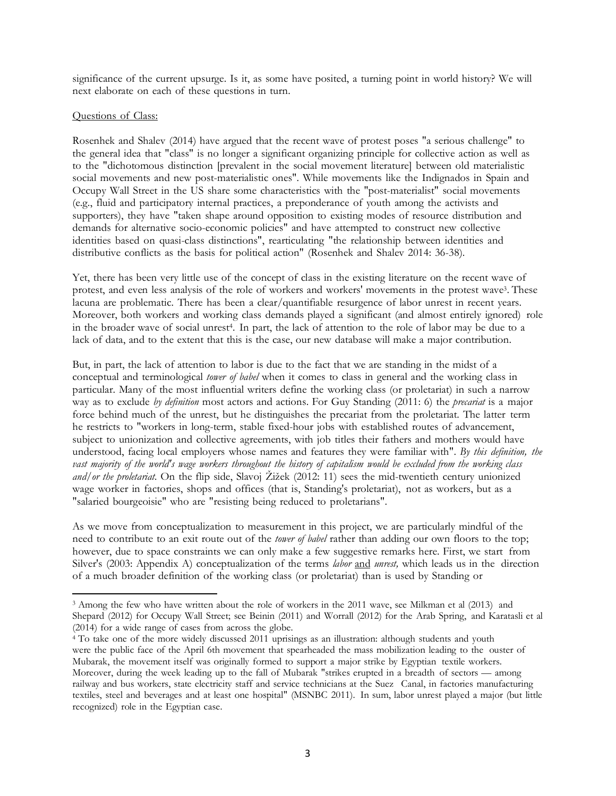significance of the current upsurge. Is it, as some have posited, a turning point in world history? We will next elaborate on each of these questions in turn.

## Questions of Class:

 $\overline{\phantom{a}}$ 

Rosenhek and Shalev (2014) have argued that the recent wave of protest poses "a serious challenge" to the general idea that "class" is no longer a significant organizing principle for collective action as well as to the "dichotomous distinction [prevalent in the social movement literature] between old materialistic social movements and new post-materialistic ones". While movements like the Indignados in Spain and Occupy Wall Street in the US share some characteristics with the "post-materialist" social movements (e.g., fluid and participatory internal practices, a preponderance of youth among the activists and supporters), they have "taken shape around opposition to existing modes of resource distribution and demands for alternative socio-economic policies" and have attempted to construct new collective identities based on quasi-class distinctions", rearticulating "the relationship between identities and distributive conflicts as the basis for political action" (Rosenhek and Shalev 2014: 36-38).

Yet, there has been very little use of the concept of class in the existing literature on the recent wave of protest, and even less analysis of the role of workers and workers' movements in the protest wave3. These lacuna are problematic. There has been a clear/quantifiable resurgence of labor unrest in recent years. Moreover, both workers and working class demands played a significant (and almost entirely ignored) role in the broader wave of social unrest4. In part, the lack of attention to the role of labor may be due to a lack of data, and to the extent that this is the case, our new database will make a major contribution.

But, in part, the lack of attention to labor is due to the fact that we are standing in the midst of a conceptual and terminological *tower of babel* when it comes to class in general and the working class in particular. Many of the most influential writers define the working class (or proletariat) in such a narrow way as to exclude *by definition* most actors and actions. For Guy Standing (2011: 6) the *precariat* is a major force behind much of the unrest, but he distinguishes the precariat from the proletariat. The latter term he restricts to "workers in long-term, stable fixed-hour jobs with established routes of advancement, subject to unionization and collective agreements, with job titles their fathers and mothers would have understood, facing local employers whose names and features they were familiar with". *By this definition, the* vast majority of the world's wage workers throughout the history of capitalism would be excluded from the working class *and/or the proletariat.* On the flip side, Slavoj Žižek (2012: 11) sees the mid-twentieth century unionized wage worker in factories, shops and offices (that is, Standing's proletariat), not as workers, but as a "salaried bourgeoisie" who are "resisting being reduced to proletarians".

As we move from conceptualization to measurement in this project, we are particularly mindful of the need to contribute to an exit route out of the *tower of babel* rather than adding our own floors to the top; however, due to space constraints we can only make a few suggestive remarks here. First, we start from Silver's (2003: Appendix A) conceptualization of the terms *labor* and *unrest,* which leads us in the direction of a much broader definition of the working class (or proletariat) than is used by Standing or

<sup>3</sup> Among the few who have written about the role of workers in the 2011 wave, see Milkman et al (2013) and Shepard (2012) for Occupy Wall Street; see Beinin (2011) and Worrall (2012) for the Arab Spring, and Karatasli et al (2014) for a wide range of cases from across the globe.

<sup>&</sup>lt;sup>4</sup> To take one of the more widely discussed 2011 uprisings as an illustration: although students and youth were the public face of the April 6th movement that spearheaded the mass mobilization leading to the ouster of Mubarak, the movement itself was originally formed to support a major strike by Egyptian textile workers. Moreover, during the week leading up to the fall of Mubarak "strikes erupted in a breadth of sectors — among railway and bus workers, state electricity staff and service technicians at the Suez Canal, in factories manufacturing textiles, steel and beverages and at least one hospital" (MSNBC 2011). In sum, labor unrest played a major (but little recognized) role in the Egyptian case.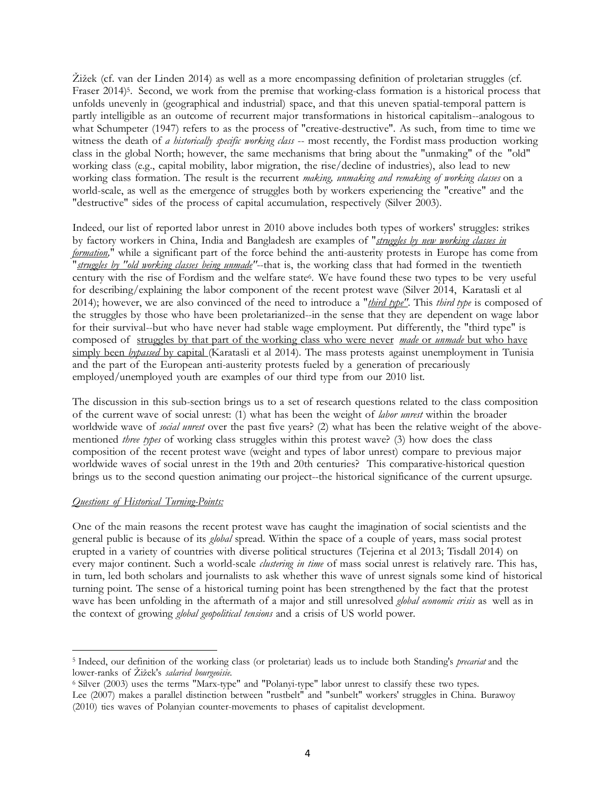Žižek (cf. van der Linden 2014) as well as a more encompassing definition of proletarian struggles (cf. Fraser 2014)5. Second, we work from the premise that working-class formation is a historical process that unfolds unevenly in (geographical and industrial) space, and that this uneven spatial-temporal pattern is partly intelligible as an outcome of recurrent major transformations in historical capitalism--analogous to what Schumpeter (1947) refers to as the process of "creative-destructive". As such, from time to time we witness the death of *a historically specific working class* -- most recently, the Fordist mass production working class in the global North; however, the same mechanisms that bring about the "unmaking" of the "old" working class (e.g., capital mobility, labor migration, the rise/decline of industries), also lead to new working class formation. The result is the recurrent *making, unmaking and remaking of working classes* on a world-scale, as well as the emergence of struggles both by workers experiencing the "creative" and the "destructive" sides of the process of capital accumulation, respectively (Silver 2003).

Indeed, our list of reported labor unrest in 2010 above includes both types of workers' struggles: strikes by factory workers in China, India and Bangladesh are examples of "*struggles by new working classes in formation,*" while a significant part of the force behind the anti-austerity protests in Europe has come from "*struggles by "old working classes being unmade"*--that is, the working class that had formed in the twentieth century with the rise of Fordism and the welfare state<sup>6</sup>. We have found these two types to be very useful for describing/explaining the labor component of the recent protest wave (Silver 2014, Karatasli et al 2014); however, we are also convinced of the need to introduce a "*third type"*. This *third type* is composed of the struggles by those who have been proletarianized--in the sense that they are dependent on wage labor for their survival--but who have never had stable wage employment. Put differently, the "third type" is composed of struggles by that part of the working class who were never *made* or *unmade* but who have simply been *bypassed* by capital (Karatasli et al 2014). The mass protests against unemployment in Tunisia and the part of the European anti-austerity protests fueled by a generation of precariously employed/unemployed youth are examples of our third type from our 2010 list.

The discussion in this sub-section brings us to a set of research questions related to the class composition of the current wave of social unrest: (1) what has been the weight of *labor unrest* within the broader worldwide wave of *social unrest* over the past five years? (2) what has been the relative weight of the abovementioned *three types* of working class struggles within this protest wave? (3) how does the class composition of the recent protest wave (weight and types of labor unrest) compare to previous major worldwide waves of social unrest in the 19th and 20th centuries? This comparative-historical question brings us to the second question animating our project--the historical significance of the current upsurge.

## *Questions of Historical Turning-Points:*

 $\overline{a}$ 

One of the main reasons the recent protest wave has caught the imagination of social scientists and the general public is because of its *global* spread. Within the space of a couple of years, mass social protest erupted in a variety of countries with diverse political structures (Tejerina et al 2013; Tisdall 2014) on every major continent. Such a world-scale *clustering in time* of mass social unrest is relatively rare. This has, in turn, led both scholars and journalists to ask whether this wave of unrest signals some kind of historical turning point. The sense of a historical turning point has been strengthened by the fact that the protest wave has been unfolding in the aftermath of a major and still unresolved *global economic crisis* as well as in the context of growing *global geopolitical tensions* and a crisis of US world power.

<sup>5</sup> Indeed, our definition of the working class (or proletariat) leads us to include both Standing's *precariat* and the lower-ranks of Žižek's *salaried bourgeoisie.*

<sup>6</sup> Silver (2003) uses the terms "Marx-type" and "Polanyi-type" labor unrest to classify these two types. Lee (2007) makes a parallel distinction between "rustbelt" and "sunbelt" workers' struggles in China. Burawoy

<sup>(2010)</sup> ties waves of Polanyian counter-movements to phases of capitalist development.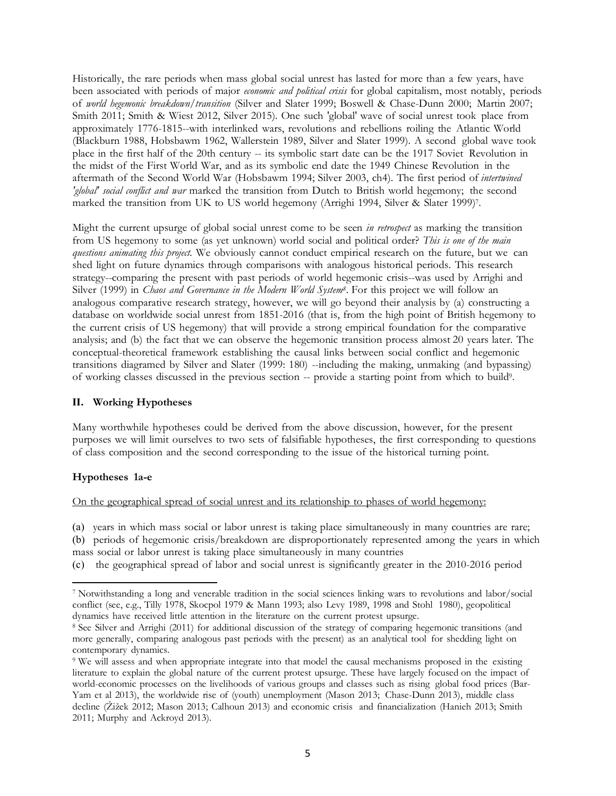Historically, the rare periods when mass global social unrest has lasted for more than a few years, have been associated with periods of major *economic and political crisis* for global capitalism, most notably, periods of *world hegemonic breakdown/transition* (Silver and Slater 1999; Boswell & Chase-Dunn 2000; Martin 2007; Smith 2011; Smith & Wiest 2012, Silver 2015). One such 'global' wave of social unrest took place from approximately 1776-1815--with interlinked wars, revolutions and rebellions roiling the Atlantic World (Blackburn 1988, Hobsbawm 1962, Wallerstein 1989, Silver and Slater 1999). A second global wave took place in the first half of the 20th century -- its symbolic start date can be the 1917 Soviet Revolution in the midst of the First World War, and as its symbolic end date the 1949 Chinese Revolution in the aftermath of the Second World War (Hobsbawm 1994; Silver 2003, ch4). The first period of *intertwined 'global' social conflict and war* marked the transition from Dutch to British world hegemony; the second marked the transition from UK to US world hegemony (Arrighi 1994, Silver & Slater 1999)7.

Might the current upsurge of global social unrest come to be seen *in retrospect* as marking the transition from US hegemony to some (as yet unknown) world social and political order? *This is one of the main questions animating this project.* We obviously cannot conduct empirical research on the future, but we can shed light on future dynamics through comparisons with analogous historical periods. This research strategy--comparing the present with past periods of world hegemonic crisis--was used by Arrighi and Silver (1999) in *Chaos and Governance in the Modern World System8*. For this project we will follow an analogous comparative research strategy, however, we will go beyond their analysis by (a) constructing a database on worldwide social unrest from 1851-2016 (that is, from the high point of British hegemony to the current crisis of US hegemony) that will provide a strong empirical foundation for the comparative analysis; and (b) the fact that we can observe the hegemonic transition process almost 20 years later. The conceptual-theoretical framework establishing the causal links between social conflict and hegemonic transitions diagramed by Silver and Slater (1999: 180) --including the making, unmaking (and bypassing) of working classes discussed in the previous section -- provide a starting point from which to build9.

## **II. Working Hypotheses**

Many worthwhile hypotheses could be derived from the above discussion, however, for the present purposes we will limit ourselves to two sets of falsifiable hypotheses, the first corresponding to questions of class composition and the second corresponding to the issue of the historical turning point.

## **Hypotheses 1a-e**

l

#### On the geographical spread of social unrest and its relationship to phases of world hegemony:

(a) years in which mass social or labor unrest is taking place simultaneously in many countries are rare; (b) periods of hegemonic crisis/breakdown are disproportionately represented among the years in which mass social or labor unrest is taking place simultaneously in many countries

(c) the geographical spread of labor and social unrest is significantly greater in the 2010-2016 period

<sup>7</sup> Notwithstanding a long and venerable tradition in the social sciences linking wars to revolutions and labor/social conflict (see, e.g., Tilly 1978, Skocpol 1979 & Mann 1993; also Levy 1989, 1998 and Stohl 1980), geopolitical dynamics have received little attention in the literature on the current protest upsurge.

<sup>8</sup> See Silver and Arrighi (2011) for additional discussion of the strategy of comparing hegemonic transitions (and more generally, comparing analogous past periods with the present) as an analytical tool for shedding light on contemporary dynamics.

<sup>9</sup> We will assess and when appropriate integrate into that model the causal mechanisms proposed in the existing literature to explain the global nature of the current protest upsurge. These have largely focused on the impact of world-economic processes on the livelihoods of various groups and classes such as rising global food prices (Bar-Yam et al 2013), the worldwide rise of (youth) unemployment (Mason 2013; Chase-Dunn 2013), middle class decline (Žižek 2012; Mason 2013; Calhoun 2013) and economic crisis and financialization (Hanieh 2013; Smith 2011; Murphy and Ackroyd 2013).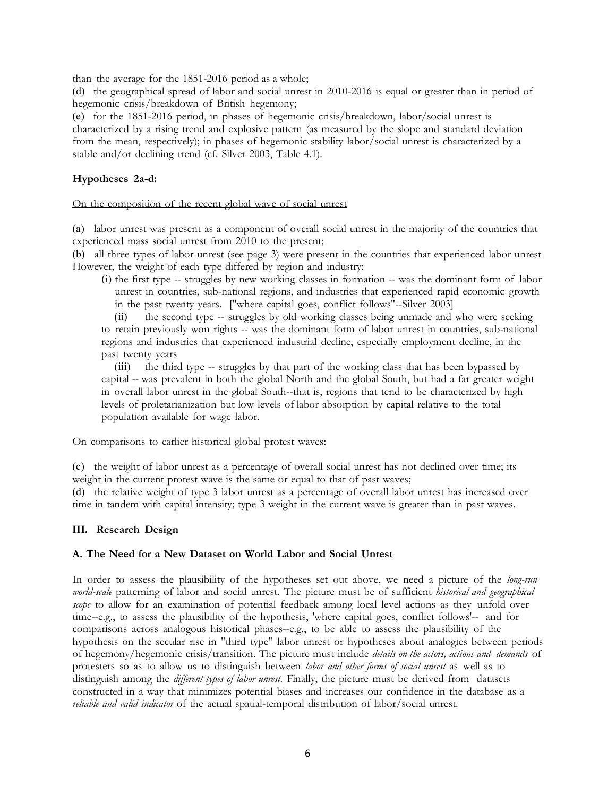than the average for the 1851-2016 period as a whole;

(d) the geographical spread of labor and social unrest in 2010-2016 is equal or greater than in period of hegemonic crisis/breakdown of British hegemony;

(e) for the 1851-2016 period, in phases of hegemonic crisis/breakdown, labor/social unrest is characterized by a rising trend and explosive pattern (as measured by the slope and standard deviation from the mean, respectively); in phases of hegemonic stability labor/social unrest is characterized by a stable and/or declining trend (cf. Silver 2003, Table 4.1).

## **Hypotheses 2a-d:**

#### On the composition of the recent global wave of social unrest

(a) labor unrest was present as a component of overall social unrest in the majority of the countries that experienced mass social unrest from 2010 to the present;

(b) all three types of labor unrest (see page 3) were present in the countries that experienced labor unrest However, the weight of each type differed by region and industry:

(i) the first type -- struggles by new working classes in formation -- was the dominant form of labor unrest in countries, sub-national regions, and industries that experienced rapid economic growth in the past twenty years. ["where capital goes, conflict follows"--Silver 2003]

(ii) the second type -- struggles by old working classes being unmade and who were seeking to retain previously won rights -- was the dominant form of labor unrest in countries, sub-national regions and industries that experienced industrial decline, especially employment decline, in the past twenty years

(iii) the third type -- struggles by that part of the working class that has been bypassed by capital -- was prevalent in both the global North and the global South, but had a far greater weight in overall labor unrest in the global South--that is, regions that tend to be characterized by high levels of proletarianization but low levels of labor absorption by capital relative to the total population available for wage labor.

## On comparisons to earlier historical global protest waves:

(c) the weight of labor unrest as a percentage of overall social unrest has not declined over time; its weight in the current protest wave is the same or equal to that of past waves;

(d) the relative weight of type 3 labor unrest as a percentage of overall labor unrest has increased over time in tandem with capital intensity; type 3 weight in the current wave is greater than in past waves.

## **III. Research Design**

## **A. The Need for a New Dataset on World Labor and Social Unrest**

In order to assess the plausibility of the hypotheses set out above, we need a picture of the *long-run world-scale* patterning of labor and social unrest. The picture must be of sufficient *historical and geographical scope* to allow for an examination of potential feedback among local level actions as they unfold over time--e.g., to assess the plausibility of the hypothesis, 'where capital goes, conflict follows'-- and for comparisons across analogous historical phases--e.g., to be able to assess the plausibility of the hypothesis on the secular rise in "third type" labor unrest or hypotheses about analogies between periods of hegemony/hegemonic crisis/transition. The picture must include *details on the actors, actions and demands* of protesters so as to allow us to distinguish between *labor and other forms of social unrest* as well as to distinguish among the *different types of labor unrest*. Finally, the picture must be derived from datasets constructed in a way that minimizes potential biases and increases our confidence in the database as a *reliable and valid indicator* of the actual spatial-temporal distribution of labor/social unrest.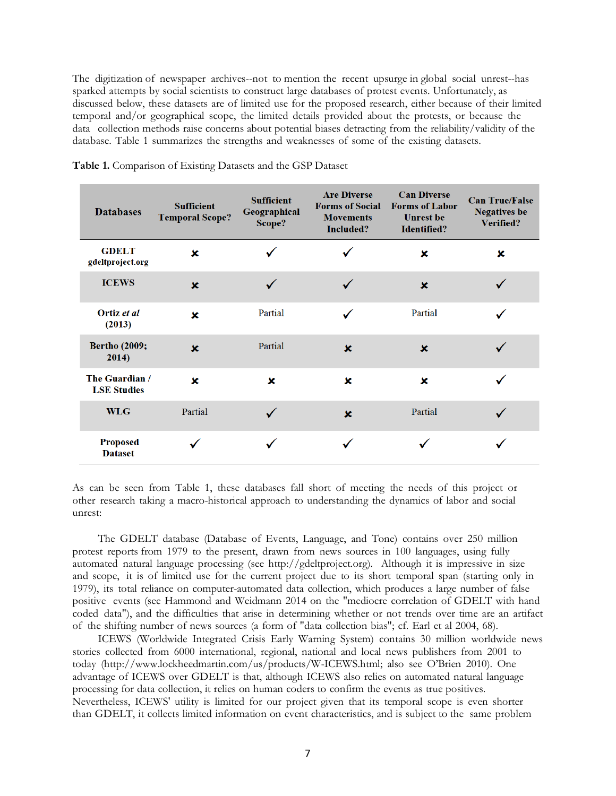The digitization of newspaper archives--not to mention the recent upsurge in global social unrest--has sparked attempts by social scientists to construct large databases of protest events. Unfortunately, as discussed below, these datasets are of limited use for the proposed research, either because of their limited temporal and/or geographical scope, the limited details provided about the protests, or because the data collection methods raise concerns about potential biases detracting from the reliability/validity of the database. Table 1 summarizes the strengths and weaknesses of some of the existing datasets.

| <b>Databases</b>                     | <b>Sufficient</b><br><b>Temporal Scope?</b> | <b>Sufficient</b><br>Geographical<br>Scope? | <b>Are Diverse</b><br><b>Forms of Social</b><br><b>Movements</b><br>Included? | <b>Can Diverse</b><br><b>Forms of Labor</b><br><b>Unrest</b> be<br><b>Identified?</b> | <b>Can True/False</b><br><b>Negatives</b> be<br>Verified? |  |
|--------------------------------------|---------------------------------------------|---------------------------------------------|-------------------------------------------------------------------------------|---------------------------------------------------------------------------------------|-----------------------------------------------------------|--|
| <b>GDELT</b><br>gdeltproject.org     | ×                                           |                                             |                                                                               | ×                                                                                     | ×                                                         |  |
| <b>ICEWS</b>                         | $\mathbf x$                                 | $\checkmark$                                |                                                                               | $\mathbf x$                                                                           |                                                           |  |
| Ortiz et al<br>(2013)                | $\mathbf x$                                 | Partial                                     | ✓                                                                             | Partial                                                                               |                                                           |  |
| <b>Bertho (2009;</b><br>2014)        | $\mathbf x$                                 | Partial                                     | $\mathbf x$                                                                   | $\mathbf x$                                                                           |                                                           |  |
| The Guardian /<br><b>LSE Studies</b> | $\mathbf x$                                 | $\mathbf x$                                 | x                                                                             | ×                                                                                     |                                                           |  |
| <b>WLG</b>                           | Partial                                     |                                             | $\mathbf x$                                                                   | Partial                                                                               |                                                           |  |
| <b>Proposed</b><br><b>Dataset</b>    |                                             |                                             |                                                                               |                                                                                       |                                                           |  |

**Table 1.** Comparison of Existing Datasets and the GSP Dataset

As can be seen from Table 1, these databases fall short of meeting the needs of this project or other research taking a macro-historical approach to understanding the dynamics of labor and social unrest:

 The GDELT database (Database of Events, Language, and Tone) contains over 250 million protest reports from 1979 to the present, drawn from news sources in 100 languages, using fully automated natural language processing (see http://gdeltproject.org). Although it is impressive in size and scope, it is of limited use for the current project due to its short temporal span (starting only in 1979), its total reliance on computer-automated data collection, which produces a large number of false positive events (see Hammond and Weidmann 2014 on the "mediocre correlation of GDELT with hand coded data"), and the difficulties that arise in determining whether or not trends over time are an artifact of the shifting number of news sources (a form of "data collection bias"; cf. Earl et al 2004, 68).

 ICEWS (Worldwide Integrated Crisis Early Warning System) contains 30 million worldwide news stories collected from 6000 international, regional, national and local news publishers from 2001 to today (http://www.lockheedmartin.com/us/products/W-ICEWS.html; also see O'Brien 2010). One advantage of ICEWS over GDELT is that, although ICEWS also relies on automated natural language processing for data collection, it relies on human coders to confirm the events as true positives. Nevertheless, ICEWS' utility is limited for our project given that its temporal scope is even shorter than GDELT, it collects limited information on event characteristics, and is subject to the same problem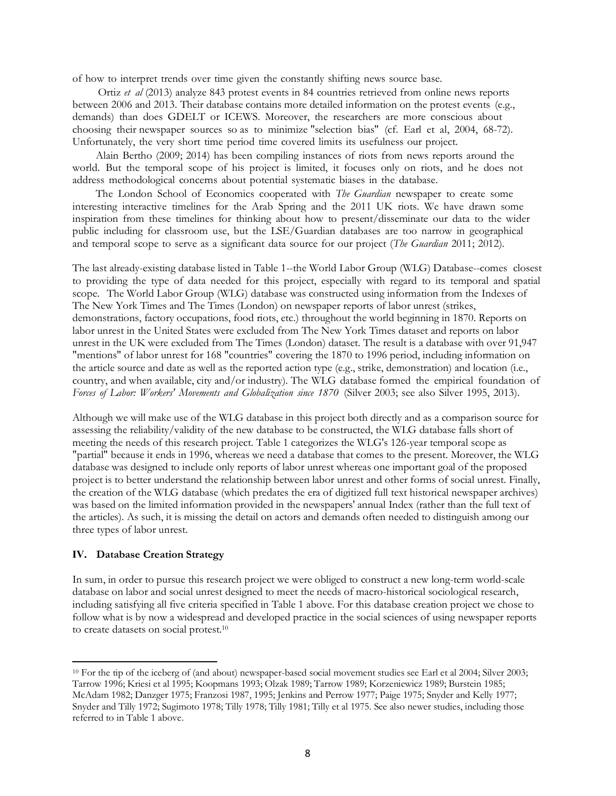of how to interpret trends over time given the constantly shifting news source base.

 Ortiz *et al* (2013) analyze 843 protest events in 84 countries retrieved from online news reports between 2006 and 2013. Their database contains more detailed information on the protest events (e.g., demands) than does GDELT or ICEWS. Moreover, the researchers are more conscious about choosing their newspaper sources so as to minimize "selection bias" (cf. Earl et al, 2004, 68-72). Unfortunately, the very short time period time covered limits its usefulness our project.

 Alain Bertho (2009; 2014) has been compiling instances of riots from news reports around the world. But the temporal scope of his project is limited, it focuses only on riots, and he does not address methodological concerns about potential systematic biases in the database.

 The London School of Economics cooperated with *The Guardian* newspaper to create some interesting interactive timelines for the Arab Spring and the 2011 UK riots. We have drawn some inspiration from these timelines for thinking about how to present/disseminate our data to the wider public including for classroom use, but the LSE/Guardian databases are too narrow in geographical and temporal scope to serve as a significant data source for our project (*The Guardian* 2011; 2012).

The last already-existing database listed in Table 1--the World Labor Group (WLG) Database--comes closest to providing the type of data needed for this project, especially with regard to its temporal and spatial scope. The World Labor Group (WLG) database was constructed using information from the Indexes of The New York Times and The Times (London) on newspaper reports of labor unrest (strikes, demonstrations, factory occupations, food riots, etc.) throughout the world beginning in 1870. Reports on labor unrest in the United States were excluded from The New York Times dataset and reports on labor unrest in the UK were excluded from The Times (London) dataset. The result is a database with over 91,947 "mentions" of labor unrest for 168 "countries" covering the 1870 to 1996 period, including information on the article source and date as well as the reported action type (e.g., strike, demonstration) and location (i.e., country, and when available, city and/or industry). The WLG database formed the empirical foundation of *Forces of Labor: Workers' Movements and Globalization since 1870* (Silver 2003; see also Silver 1995, 2013).

Although we will make use of the WLG database in this project both directly and as a comparison source for assessing the reliability/validity of the new database to be constructed, the WLG database falls short of meeting the needs of this research project. Table 1 categorizes the WLG's 126-year temporal scope as "partial" because it ends in 1996, whereas we need a database that comes to the present. Moreover, the WLG database was designed to include only reports of labor unrest whereas one important goal of the proposed project is to better understand the relationship between labor unrest and other forms of social unrest. Finally, the creation of the WLG database (which predates the era of digitized full text historical newspaper archives) was based on the limited information provided in the newspapers' annual Index (rather than the full text of the articles). As such, it is missing the detail on actors and demands often needed to distinguish among our three types of labor unrest.

#### **IV. Database Creation Strategy**

l

In sum, in order to pursue this research project we were obliged to construct a new long-term world-scale database on labor and social unrest designed to meet the needs of macro-historical sociological research, including satisfying all five criteria specified in Table 1 above. For this database creation project we chose to follow what is by now a widespread and developed practice in the social sciences of using newspaper reports to create datasets on social protest.10

<sup>10</sup> For the tip of the iceberg of (and about) newspaper-based social movement studies see Earl et al 2004; Silver 2003; Tarrow 1996; Kriesi et al 1995; Koopmans 1993; Olzak 1989; Tarrow 1989; Korzeniewicz 1989; Burstein 1985; McAdam 1982; Danzger 1975; Franzosi 1987, 1995; Jenkins and Perrow 1977; Paige 1975; Snyder and Kelly 1977; Snyder and Tilly 1972; Sugimoto 1978; Tilly 1978; Tilly 1981; Tilly et al 1975. See also newer studies, including those referred to in Table 1 above.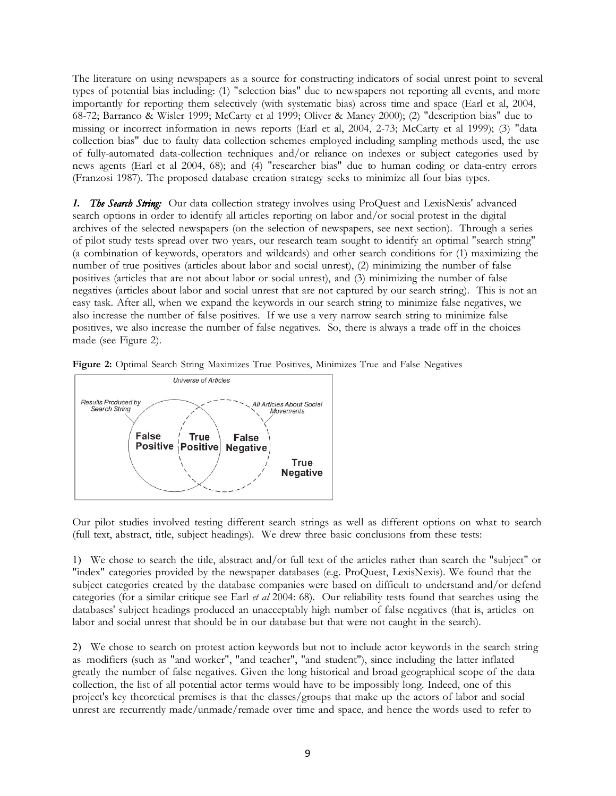The literature on using newspapers as a source for constructing indicators of social unrest point to several types of potential bias including: (1) "selection bias" due to newspapers not reporting all events, and more importantly for reporting them selectively (with systematic bias) across time and space (Earl et al, 2004, 68-72; Barranco & Wisler 1999; McCarty et al 1999; Oliver & Maney 2000); (2) "description bias" due to missing or incorrect information in news reports (Earl et al, 2004, 2-73; McCarty et al 1999); (3) "data collection bias" due to faulty data collection schemes employed including sampling methods used, the use of fully-automated data-collection techniques and/or reliance on indexes or subject categories used by news agents (Earl et al 2004, 68); and (4) "researcher bias" due to human coding or data-entry errors (Franzosi 1987). The proposed database creation strategy seeks to minimize all four bias types.

*1. The Search String:* Our data collection strategy involves using ProQuest and LexisNexis' advanced search options in order to identify all articles reporting on labor and/or social protest in the digital archives of the selected newspapers (on the selection of newspapers, see next section). Through a series of pilot study tests spread over two years, our research team sought to identify an optimal "search string" (a combination of keywords, operators and wildcards) and other search conditions for (1) maximizing the number of true positives (articles about labor and social unrest), (2) minimizing the number of false positives (articles that are not about labor or social unrest), and (3) minimizing the number of false negatives (articles about labor and social unrest that are not captured by our search string). This is not an easy task. After all, when we expand the keywords in our search string to minimize false negatives, we also increase the number of false positives. If we use a very narrow search string to minimize false positives, we also increase the number of false negatives. So, there is always a trade off in the choices made (see Figure 2).





Our pilot studies involved testing different search strings as well as different options on what to search (full text, abstract, title, subject headings). We drew three basic conclusions from these tests:

1) We chose to search the title, abstract and/or full text of the articles rather than search the "subject" or "index" categories provided by the newspaper databases (e.g. ProQuest, LexisNexis). We found that the subject categories created by the database companies were based on difficult to understand and/or defend categories (for a similar critique see Earl *et al* 2004: 68). Our reliability tests found that searches using the databases' subject headings produced an unacceptably high number of false negatives (that is, articles on labor and social unrest that should be in our database but that were not caught in the search).

2) We chose to search on protest action keywords but not to include actor keywords in the search string as modifiers (such as "and worker", "and teacher", "and student"), since including the latter inflated greatly the number of false negatives. Given the long historical and broad geographical scope of the data collection, the list of all potential actor terms would have to be impossibly long. Indeed, one of this project's key theoretical premises is that the classes/groups that make up the actors of labor and social unrest are recurrently made/unmade/remade over time and space, and hence the words used to refer to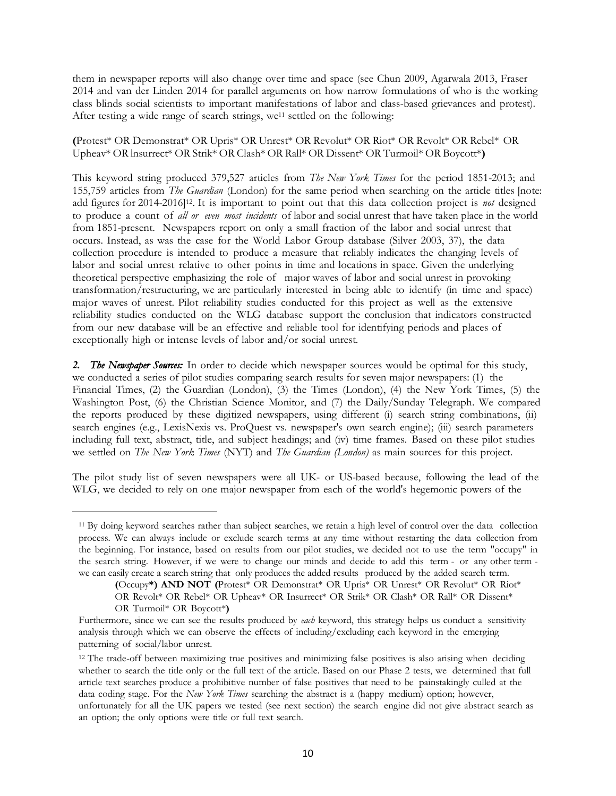them in newspaper reports will also change over time and space (see Chun 2009, Agarwala 2013, Fraser 2014 and van der Linden 2014 for parallel arguments on how narrow formulations of who is the working class blinds social scientists to important manifestations of labor and class-based grievances and protest). After testing a wide range of search strings, we<sup>11</sup> settled on the following:

**(**Protest\* OR Demonstrat\* OR Upris\* OR Unrest\* OR Revolut\* OR Riot\* OR Revolt\* OR Rebel\* OR Upheav\* OR lnsurrect\* OR Strik\* OR Clash\* OR Rall\* OR Dissent\* OR Turmoil\* OR Boycott\***)**

This keyword string produced 379,527 articles from *The New York Times* for the period 1851-2013; and 155,759 articles from *The Guardian* (London) for the same period when searching on the article titles [note: add figures for 2014-2016]12. It is important to point out that this data collection project is *not* designed to produce a count of *all or even most incidents* of labor and social unrest that have taken place in the world from 1851-present. Newspapers report on only a small fraction of the labor and social unrest that occurs. Instead, as was the case for the World Labor Group database (Silver 2003, 37), the data collection procedure is intended to produce a measure that reliably indicates the changing levels of labor and social unrest relative to other points in time and locations in space. Given the underlying theoretical perspective emphasizing the role of major waves of labor and social unrest in provoking transformation/restructuring, we are particularly interested in being able to identify (in time and space) major waves of unrest. Pilot reliability studies conducted for this project as well as the extensive reliability studies conducted on the WLG database support the conclusion that indicators constructed from our new database will be an effective and reliable tool for identifying periods and places of exceptionally high or intense levels of labor and/or social unrest.

*2. The Newspaper Sources:* In order to decide which newspaper sources would be optimal for this study, we conducted a series of pilot studies comparing search results for seven major newspapers: (1) the Financial Times, (2) the Guardian (London), (3) the Times (London), (4) the New York Times, (5) the Washington Post, (6) the Christian Science Monitor, and (7) the Daily/Sunday Telegraph. We compared the reports produced by these digitized newspapers, using different (i) search string combinations, (ii) search engines (e.g., LexisNexis vs. ProQuest vs. newspaper's own search engine); (iii) search parameters including full text, abstract, title, and subject headings; and (iv) time frames. Based on these pilot studies we settled on *The New York Times* (NYT) and *The Guardian (London)* as main sources for this project.

The pilot study list of seven newspapers were all UK- or US-based because, following the lead of the WLG, we decided to rely on one major newspaper from each of the world's hegemonic powers of the

 $\overline{\phantom{a}}$ 

<sup>11</sup> By doing keyword searches rather than subject searches, we retain a high level of control over the data collection process. We can always include or exclude search terms at any time without restarting the data collection from the beginning. For instance, based on results from our pilot studies, we decided not to use the term "occupy" in the search string. However, if we were to change our minds and decide to add this term - or any other term we can easily create a search string that only produces the added results produced by the added search term.

**<sup>(</sup>**Occupy**\*) AND NOT (**Protest\* OR Demonstrat\* OR Upris\* OR Unrest\* OR Revolut\* OR Riot\* OR Revolt\* OR Rebel\* OR Upheav\* OR Insurrect\* OR Strik\* OR Clash\* OR Rall\* OR Dissent\* OR Turmoil\* OR Boycott\***)**

Furthermore, since we can see the results produced by *each* keyword, this strategy helps us conduct a sensitivity analysis through which we can observe the effects of including/excluding each keyword in the emerging patterning of social/labor unrest.

<sup>&</sup>lt;sup>12</sup> The trade-off between maximizing true positives and minimizing false positives is also arising when deciding whether to search the title only or the full text of the article. Based on our Phase 2 tests, we determined that full article text searches produce a prohibitive number of false positives that need to be painstakingly culled at the data coding stage. For the *New York Times* searching the abstract is a (happy medium) option; however, unfortunately for all the UK papers we tested (see next section) the search engine did not give abstract search as an option; the only options were title or full text search.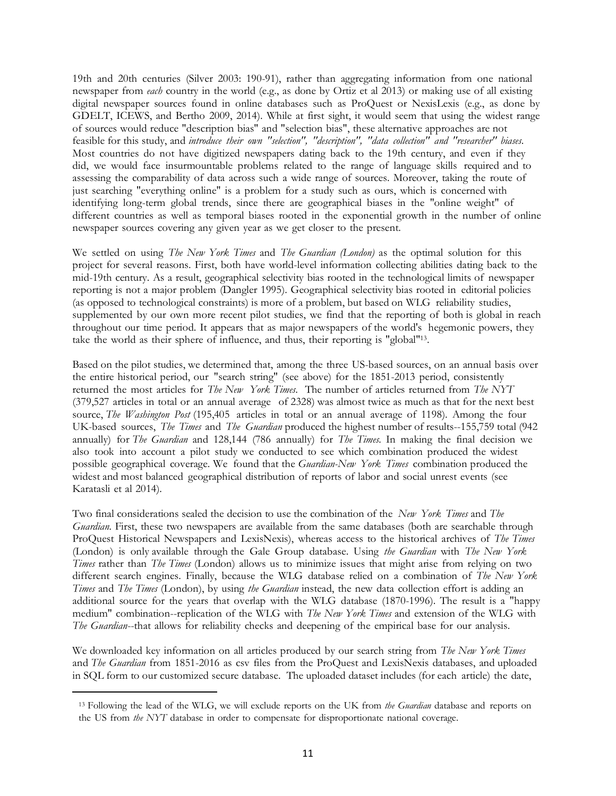19th and 20th centuries (Silver 2003: 190-91), rather than aggregating information from one national newspaper from *each* country in the world (e.g., as done by Ortiz et al 2013) or making use of all existing digital newspaper sources found in online databases such as ProQuest or NexisLexis (e.g., as done by GDELT, ICEWS, and Bertho 2009, 2014). While at first sight, it would seem that using the widest range of sources would reduce "description bias" and "selection bias", these alternative approaches are not feasible for this study, and *introduce their own "selection", "description", "data collection" and "researcher" biases*. Most countries do not have digitized newspapers dating back to the 19th century, and even if they did, we would face insurmountable problems related to the range of language skills required and to assessing the comparability of data across such a wide range of sources. Moreover, taking the route of just searching "everything online" is a problem for a study such as ours, which is concerned with identifying long-term global trends, since there are geographical biases in the "online weight" of different countries as well as temporal biases rooted in the exponential growth in the number of online newspaper sources covering any given year as we get closer to the present.

We settled on using *The New York Times* and *The Guardian (London)* as the optimal solution for this project for several reasons. First, both have world-level information collecting abilities dating back to the mid-19th century. As a result, geographical selectivity bias rooted in the technological limits of newspaper reporting is not a major problem (Dangler 1995). Geographical selectivity bias rooted in editorial policies (as opposed to technological constraints) is more of a problem, but based on WLG reliability studies, supplemented by our own more recent pilot studies, we find that the reporting of both is global in reach throughout our time period. It appears that as major newspapers of the world's hegemonic powers, they take the world as their sphere of influence, and thus, their reporting is "global"13.

Based on the pilot studies, we determined that, among the three US-based sources, on an annual basis over the entire historical period, our "search string" (see above) for the 1851-2013 period, consistently returned the most articles for *The New York Times*. The number of articles returned from *The NYT* (379,527 articles in total or an annual average of 2328) was almost twice as much as that for the next best source, *The Washington Post* (195,405 articles in total or an annual average of 1198). Among the four UK-based sources, *The Times* and *The Guardian* produced the highest number of results--155,759 total (942 annually) for *The Guardian* and 128,144 (786 annually) for *The Times.* In making the final decision we also took into account a pilot study we conducted to see which combination produced the widest possible geographical coverage. We found that the *Guardian-New York Times* combination produced the widest and most balanced geographical distribution of reports of labor and social unrest events (see Karatasli et al 2014).

Two final considerations sealed the decision to use the combination of the *New York Times* and *The Guardian.* First, these two newspapers are available from the same databases (both are searchable through ProQuest Historical Newspapers and LexisNexis), whereas access to the historical archives of *The Times* (London) is only available through the Gale Group database. Using *the Guardian* with *The New York Times* rather than *The Times* (London) allows us to minimize issues that might arise from relying on two different search engines. Finally, because the WLG database relied on a combination of *The New York Times* and *The Times* (London), by using *the Guardian* instead, the new data collection effort is adding an additional source for the years that overlap with the WLG database (1870-1996). The result is a "happy medium" combination--replication of the WLG with *The New York Times* and extension of the WLG with *The Guardian*--that allows for reliability checks and deepening of the empirical base for our analysis.

We downloaded key information on all articles produced by our search string from *The New York Times* and *The Guardian* from 1851-2016 as csv files from the ProQuest and LexisNexis databases, and uploaded in SQL form to our customized secure database. The uploaded dataset includes (for each article) the date,

l

<sup>13</sup> Following the lead of the WLG, we will exclude reports on the UK from *the Guardian* database and reports on the US from *the NYT* database in order to compensate for disproportionate national coverage.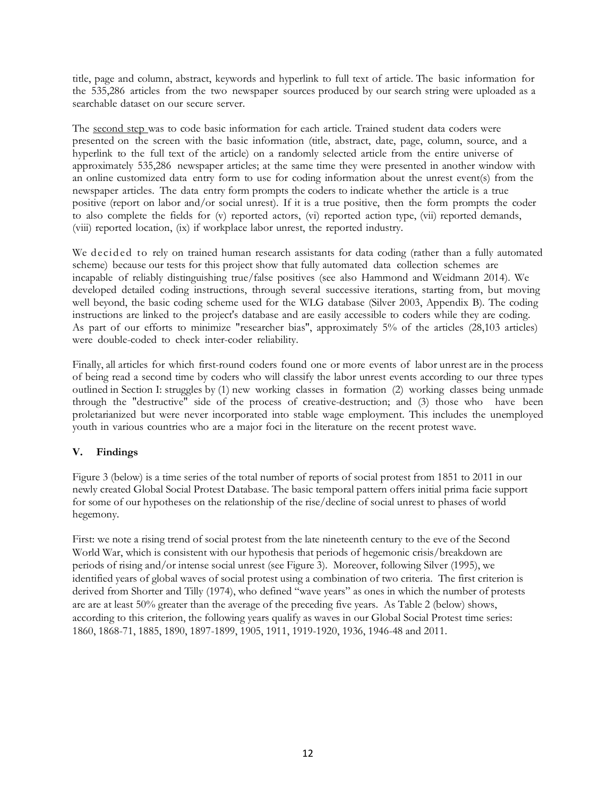title, page and column, abstract, keywords and hyperlink to full text of article. The basic information for the 535,286 articles from the two newspaper sources produced by our search string were uploaded as a searchable dataset on our secure server.

The second step was to code basic information for each article. Trained student data coders were presented on the screen with the basic information (title, abstract, date, page, column, source, and a hyperlink to the full text of the article) on a randomly selected article from the entire universe of approximately 535,286 newspaper articles; at the same time they were presented in another window with an online customized data entry form to use for coding information about the unrest event(s) from the newspaper articles. The data entry form prompts the coders to indicate whether the article is a true positive (report on labor and/or social unrest). If it is a true positive, then the form prompts the coder to also complete the fields for (v) reported actors, (vi) reported action type, (vii) reported demands, (viii) reported location, (ix) if workplace labor unrest, the reported industry.

We decided to rely on trained human research assistants for data coding (rather than a fully automated scheme) because our tests for this project show that fully automated data collection schemes are incapable of reliably distinguishing true/false positives (see also Hammond and Weidmann 2014). We developed detailed coding instructions, through several successive iterations, starting from, but moving well beyond, the basic coding scheme used for the WLG database (Silver 2003, Appendix B). The coding instructions are linked to the project's database and are easily accessible to coders while they are coding. As part of our efforts to minimize "researcher bias", approximately 5% of the articles (28,103 articles) were double-coded to check inter-coder reliability.

Finally, all articles for which first-round coders found one or more events of labor unrest are in the process of being read a second time by coders who will classify the labor unrest events according to our three types outlined in Section I: struggles by (1) new working classes in formation (2) working classes being unmade through the "destructive" side of the process of creative-destruction; and (3) those who have been proletarianized but were never incorporated into stable wage employment. This includes the unemployed youth in various countries who are a major foci in the literature on the recent protest wave.

# **V. Findings**

Figure 3 (below) is a time series of the total number of reports of social protest from 1851 to 2011 in our newly created Global Social Protest Database. The basic temporal pattern offers initial prima facie support for some of our hypotheses on the relationship of the rise/decline of social unrest to phases of world hegemony.

First: we note a rising trend of social protest from the late nineteenth century to the eve of the Second World War, which is consistent with our hypothesis that periods of hegemonic crisis/breakdown are periods of rising and/or intense social unrest (see Figure 3). Moreover, following Silver (1995), we identified years of global waves of social protest using a combination of two criteria. The first criterion is derived from Shorter and Tilly (1974), who defined "wave years" as ones in which the number of protests are are at least 50% greater than the average of the preceding five years. As Table 2 (below) shows, according to this criterion, the following years qualify as waves in our Global Social Protest time series: 1860, 1868-71, 1885, 1890, 1897-1899, 1905, 1911, 1919-1920, 1936, 1946-48 and 2011.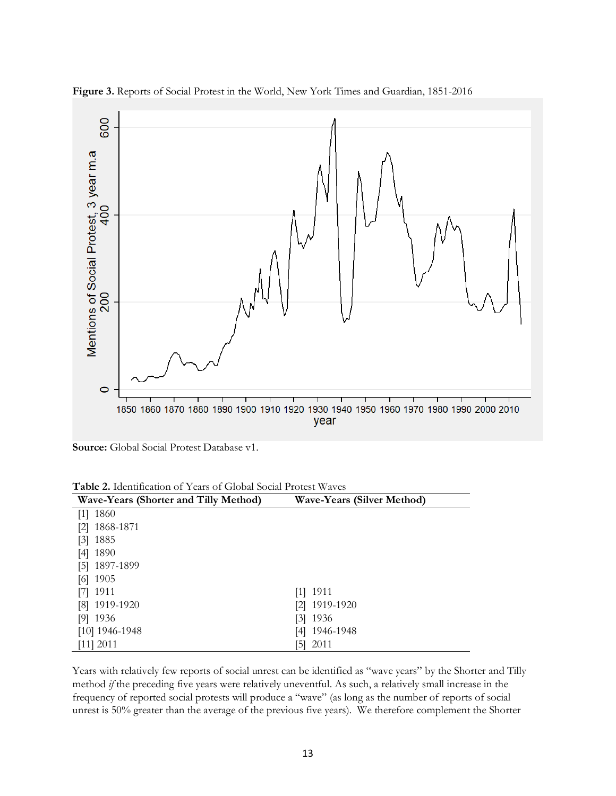

**Figure 3.** Reports of Social Protest in the World, New York Times and Guardian, 1851-2016

**Source:** Global Social Protest Database v1.

| Table 2. Identification of Years of Global Social Protest Waves |  |
|-----------------------------------------------------------------|--|
|-----------------------------------------------------------------|--|

| <b>Wave-Years (Shorter and Tilly Method)</b> | <b>Wave-Years (Silver Method)</b> |
|----------------------------------------------|-----------------------------------|
| 1860<br>$\lceil 1 \rceil$                    |                                   |
| 1868-1871<br>$\lceil 2 \rceil$               |                                   |
| 1885<br>$\lceil 3 \rceil$                    |                                   |
| 1890<br>[4]                                  |                                   |
| 1897-1899<br>$\overline{5}$                  |                                   |
| 1905<br>[6]                                  |                                   |
| 1911<br>171                                  | $[1]$ 1911                        |
| [8] 1919-1920                                | [2] 1919-1920                     |
| 1936<br>[9]                                  | $[3]$ 1936                        |
| $[10]$ 1946-1948                             | [4] 1946-1948                     |
| $[11]$ 2011                                  | 2011<br>51                        |

Years with relatively few reports of social unrest can be identified as "wave years" by the Shorter and Tilly method *if* the preceding five years were relatively uneventful. As such, a relatively small increase in the frequency of reported social protests will produce a "wave" (as long as the number of reports of social unrest is 50% greater than the average of the previous five years). We therefore complement the Shorter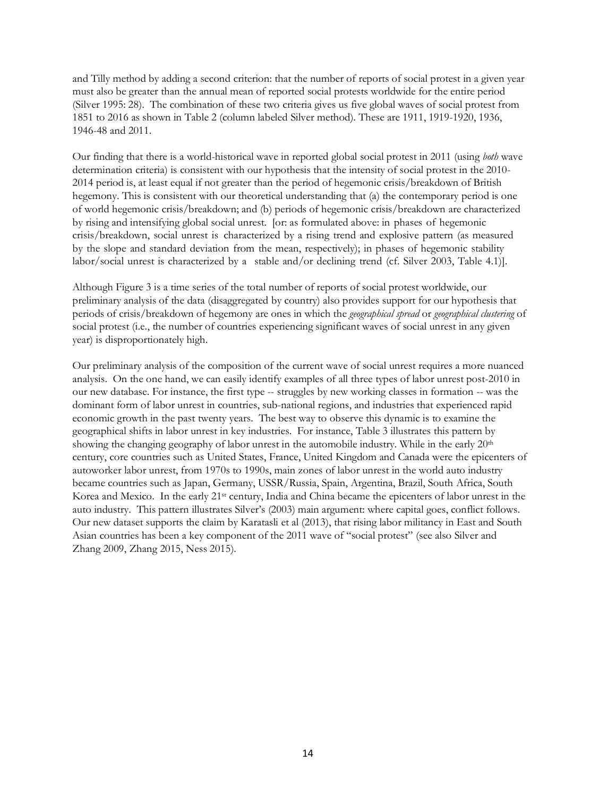and Tilly method by adding a second criterion: that the number of reports of social protest in a given year must also be greater than the annual mean of reported social protests worldwide for the entire period (Silver 1995: 28). The combination of these two criteria gives us five global waves of social protest from 1851 to 2016 as shown in Table 2 (column labeled Silver method). These are 1911, 1919-1920, 1936, 1946-48 and 2011.

Our finding that there is a world-historical wave in reported global social protest in 2011 (using *both* wave determination criteria) is consistent with our hypothesis that the intensity of social protest in the 2010- 2014 period is, at least equal if not greater than the period of hegemonic crisis/breakdown of British hegemony. This is consistent with our theoretical understanding that (a) the contemporary period is one of world hegemonic crisis/breakdown; and (b) periods of hegemonic crisis/breakdown are characterized by rising and intensifying global social unrest. [or: as formulated above: in phases of hegemonic crisis/breakdown, social unrest is characterized by a rising trend and explosive pattern (as measured by the slope and standard deviation from the mean, respectively); in phases of hegemonic stability labor/social unrest is characterized by a stable and/or declining trend (cf. Silver 2003, Table 4.1)].

Although Figure 3 is a time series of the total number of reports of social protest worldwide, our preliminary analysis of the data (disaggregated by country) also provides support for our hypothesis that periods of crisis/breakdown of hegemony are ones in which the *geographical spread* or *geographical clustering* of social protest (i.e., the number of countries experiencing significant waves of social unrest in any given year) is disproportionately high.

Our preliminary analysis of the composition of the current wave of social unrest requires a more nuanced analysis. On the one hand, we can easily identify examples of all three types of labor unrest post-2010 in our new database. For instance, the first type -- struggles by new working classes in formation -- was the dominant form of labor unrest in countries, sub-national regions, and industries that experienced rapid economic growth in the past twenty years. The best way to observe this dynamic is to examine the geographical shifts in labor unrest in key industries. For instance, Table 3 illustrates this pattern by showing the changing geography of labor unrest in the automobile industry. While in the early 20<sup>th</sup> century, core countries such as United States, France, United Kingdom and Canada were the epicenters of autoworker labor unrest, from 1970s to 1990s, main zones of labor unrest in the world auto industry became countries such as Japan, Germany, USSR/Russia, Spain, Argentina, Brazil, South Africa, South Korea and Mexico. In the early 21st century, India and China became the epicenters of labor unrest in the auto industry. This pattern illustrates Silver's (2003) main argument: where capital goes, conflict follows. Our new dataset supports the claim by Karatasli et al (2013), that rising labor militancy in East and South Asian countries has been a key component of the 2011 wave of "social protest" (see also Silver and Zhang 2009, Zhang 2015, Ness 2015).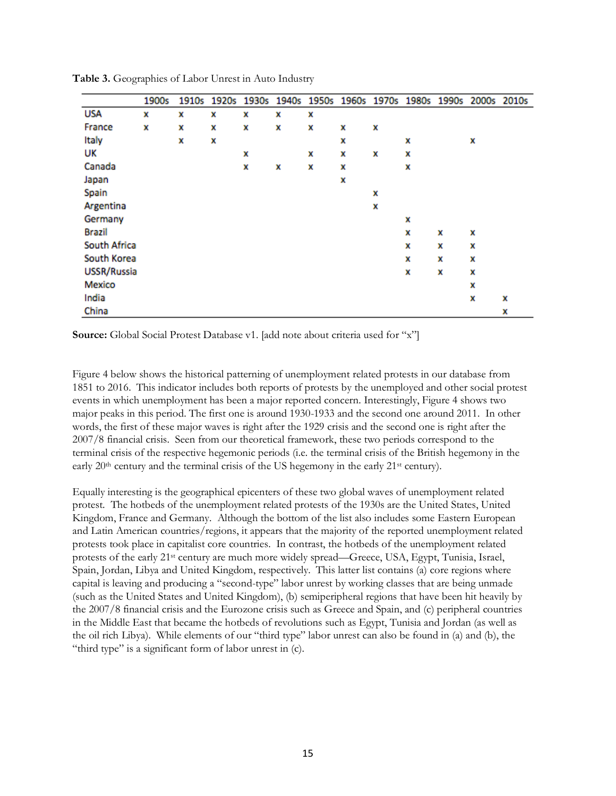|               | 1900s | 1910s | 1920s | 1930s | 1940s | 1950s |   |   |   | 1960s 1970s 1980s 1990s 2000s 2010s |   |   |
|---------------|-------|-------|-------|-------|-------|-------|---|---|---|-------------------------------------|---|---|
| <b>USA</b>    | x     | x     | x     | x     | x     | x     |   |   |   |                                     |   |   |
| France        | x     | x     | x     | x     | x     | x     | x | x |   |                                     |   |   |
| Italy         |       | x     | x     |       |       |       | x |   | x |                                     | x |   |
| UK            |       |       |       | x     |       | x     | x | x | x |                                     |   |   |
| Canada        |       |       |       | x     | x     | x     | x |   | x |                                     |   |   |
| Japan         |       |       |       |       |       |       | x |   |   |                                     |   |   |
| Spain         |       |       |       |       |       |       |   | x |   |                                     |   |   |
| Argentina     |       |       |       |       |       |       |   | x |   |                                     |   |   |
| Germany       |       |       |       |       |       |       |   |   | x |                                     |   |   |
| <b>Brazil</b> |       |       |       |       |       |       |   |   | x | x                                   | x |   |
| South Africa  |       |       |       |       |       |       |   |   | x | x                                   | x |   |
| South Korea   |       |       |       |       |       |       |   |   | x | x                                   | x |   |
| USSR/Russia   |       |       |       |       |       |       |   |   | x | x                                   | x |   |
| Mexico        |       |       |       |       |       |       |   |   |   |                                     | x |   |
| India         |       |       |       |       |       |       |   |   |   |                                     | x | x |
| China         |       |       |       |       |       |       |   |   |   |                                     |   | x |

**Table 3.** Geographies of Labor Unrest in Auto Industry

**Source:** Global Social Protest Database v1. [add note about criteria used for "x"]

Figure 4 below shows the historical patterning of unemployment related protests in our database from 1851 to 2016. This indicator includes both reports of protests by the unemployed and other social protest events in which unemployment has been a major reported concern. Interestingly, Figure 4 shows two major peaks in this period. The first one is around 1930-1933 and the second one around 2011. In other words, the first of these major waves is right after the 1929 crisis and the second one is right after the 2007/8 financial crisis. Seen from our theoretical framework, these two periods correspond to the terminal crisis of the respective hegemonic periods (i.e. the terminal crisis of the British hegemony in the early 20<sup>th</sup> century and the terminal crisis of the US hegemony in the early 21<sup>st</sup> century).

Equally interesting is the geographical epicenters of these two global waves of unemployment related protest. The hotbeds of the unemployment related protests of the 1930s are the United States, United Kingdom, France and Germany. Although the bottom of the list also includes some Eastern European and Latin American countries/regions, it appears that the majority of the reported unemployment related protests took place in capitalist core countries. In contrast, the hotbeds of the unemployment related protests of the early 21st century are much more widely spread—Greece, USA, Egypt, Tunisia, Israel, Spain, Jordan, Libya and United Kingdom, respectively. This latter list contains (a) core regions where capital is leaving and producing a "second-type" labor unrest by working classes that are being unmade (such as the United States and United Kingdom), (b) semiperipheral regions that have been hit heavily by the 2007/8 financial crisis and the Eurozone crisis such as Greece and Spain, and (c) peripheral countries in the Middle East that became the hotbeds of revolutions such as Egypt, Tunisia and Jordan (as well as the oil rich Libya). While elements of our "third type" labor unrest can also be found in (a) and (b), the "third type" is a significant form of labor unrest in (c).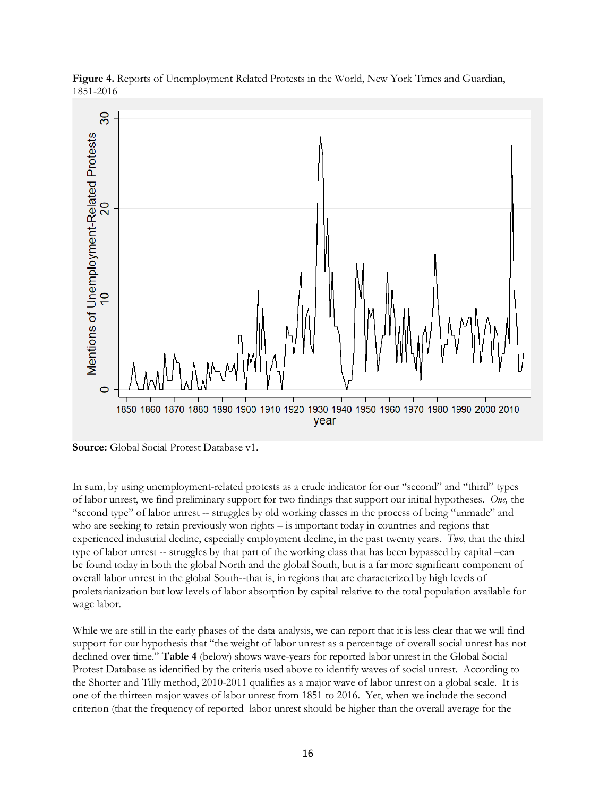

**Figure 4.** Reports of Unemployment Related Protests in the World, New York Times and Guardian, 1851-2016

In sum, by using unemployment-related protests as a crude indicator for our "second" and "third" types of labor unrest, we find preliminary support for two findings that support our initial hypotheses. *One,* the "second type" of labor unrest -- struggles by old working classes in the process of being "unmade" and who are seeking to retain previously won rights – is important today in countries and regions that experienced industrial decline, especially employment decline, in the past twenty years. *Two*, that the third type of labor unrest -- struggles by that part of the working class that has been bypassed by capital –can be found today in both the global North and the global South, but is a far more significant component of overall labor unrest in the global South--that is, in regions that are characterized by high levels of proletarianization but low levels of labor absorption by capital relative to the total population available for wage labor.

While we are still in the early phases of the data analysis, we can report that it is less clear that we will find support for our hypothesis that "the weight of labor unrest as a percentage of overall social unrest has not declined over time." **Table 4** (below) shows wave-years for reported labor unrest in the Global Social Protest Database as identified by the criteria used above to identify waves of social unrest. According to the Shorter and Tilly method, 2010-2011 qualifies as a major wave of labor unrest on a global scale. It is one of the thirteen major waves of labor unrest from 1851 to 2016. Yet, when we include the second criterion (that the frequency of reported labor unrest should be higher than the overall average for the

**Source:** Global Social Protest Database v1.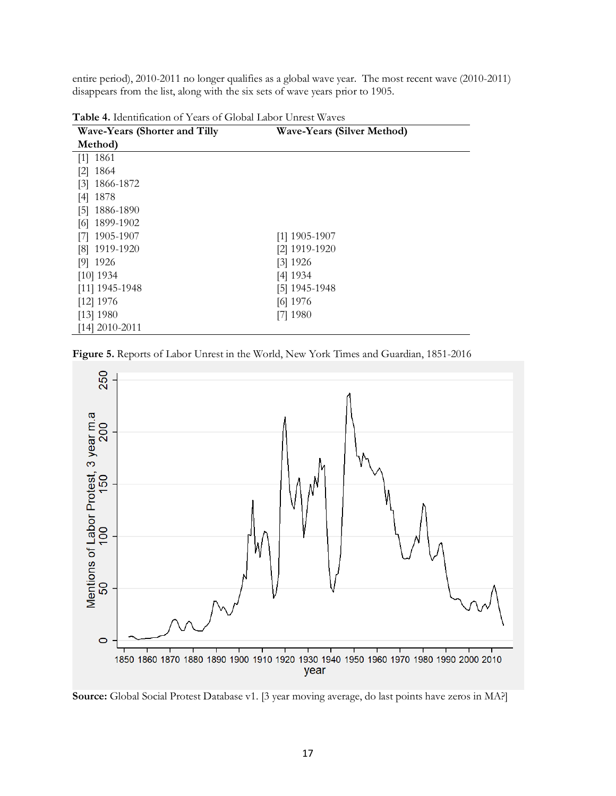entire period), 2010-2011 no longer qualifies as a global wave year. The most recent wave (2010-2011) disappears from the list, along with the six sets of wave years prior to 1905.

| <b>Wave-Years (Shorter and Tilly</b> | <b>Wave-Years (Silver Method)</b> |
|--------------------------------------|-----------------------------------|
| Method)                              |                                   |
| $[1]$ 1861                           |                                   |
| $[2]$ 1864                           |                                   |
| 1866-1872<br>$\lceil 3 \rceil$       |                                   |
| $[4]$ 1878                           |                                   |
| $[5]$ 1886-1890                      |                                   |
| $[6]$ 1899-1902                      |                                   |
| [7] 1905-1907                        | $[1]$ 1905-1907                   |
| [8] 1919-1920                        | [2] 1919-1920                     |
| $[9]$ 1926                           | $[3]$ 1926                        |
| $[10]$ 1934                          | [4] 1934                          |
| $[11]$ 1945-1948                     | [5] 1945-1948                     |
| $[12]$ 1976                          | [6] 1976                          |
| [13] 1980                            | $[7]$ 1980                        |
| $[14]$ 2010-2011                     |                                   |

**Table 4.** Identification of Years of Global Labor Unrest Waves

**Figure 5.** Reports of Labor Unrest in the World, New York Times and Guardian, 1851-2016



**Source:** Global Social Protest Database v1. [3 year moving average, do last points have zeros in MA?]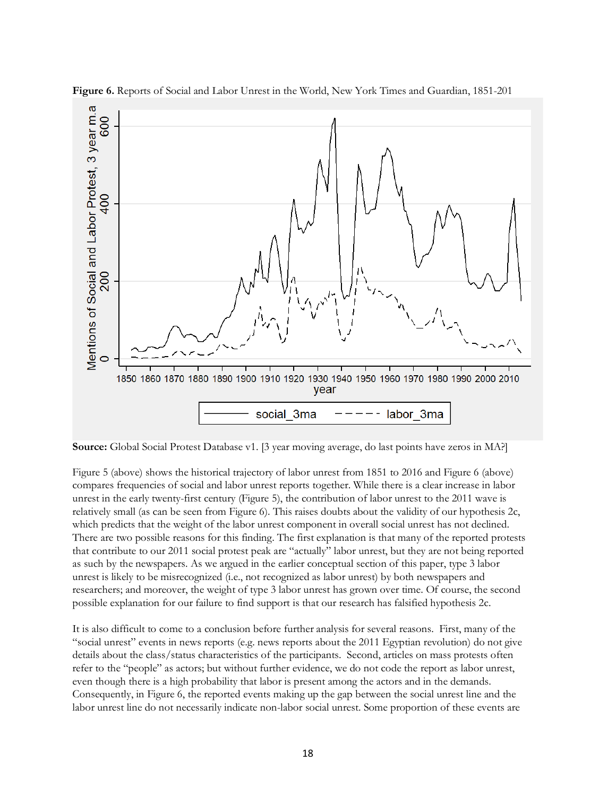

**Figure 6.** Reports of Social and Labor Unrest in the World, New York Times and Guardian, 1851-201

**Source:** Global Social Protest Database v1. [3 year moving average, do last points have zeros in MA?]

Figure 5 (above) shows the historical trajectory of labor unrest from 1851 to 2016 and Figure 6 (above) compares frequencies of social and labor unrest reports together. While there is a clear increase in labor unrest in the early twenty-first century (Figure 5), the contribution of labor unrest to the 2011 wave is relatively small (as can be seen from Figure 6). This raises doubts about the validity of our hypothesis 2c, which predicts that the weight of the labor unrest component in overall social unrest has not declined. There are two possible reasons for this finding. The first explanation is that many of the reported protests that contribute to our 2011 social protest peak are "actually" labor unrest, but they are not being reported as such by the newspapers. As we argued in the earlier conceptual section of this paper, type 3 labor unrest is likely to be misrecognized (i.e., not recognized as labor unrest) by both newspapers and researchers; and moreover, the weight of type 3 labor unrest has grown over time. Of course, the second possible explanation for our failure to find support is that our research has falsified hypothesis 2c.

It is also difficult to come to a conclusion before further analysis for several reasons. First, many of the "social unrest" events in news reports (e.g. news reports about the 2011 Egyptian revolution) do not give details about the class/status characteristics of the participants. Second, articles on mass protests often refer to the "people" as actors; but without further evidence, we do not code the report as labor unrest, even though there is a high probability that labor is present among the actors and in the demands. Consequently, in Figure 6, the reported events making up the gap between the social unrest line and the labor unrest line do not necessarily indicate non-labor social unrest. Some proportion of these events are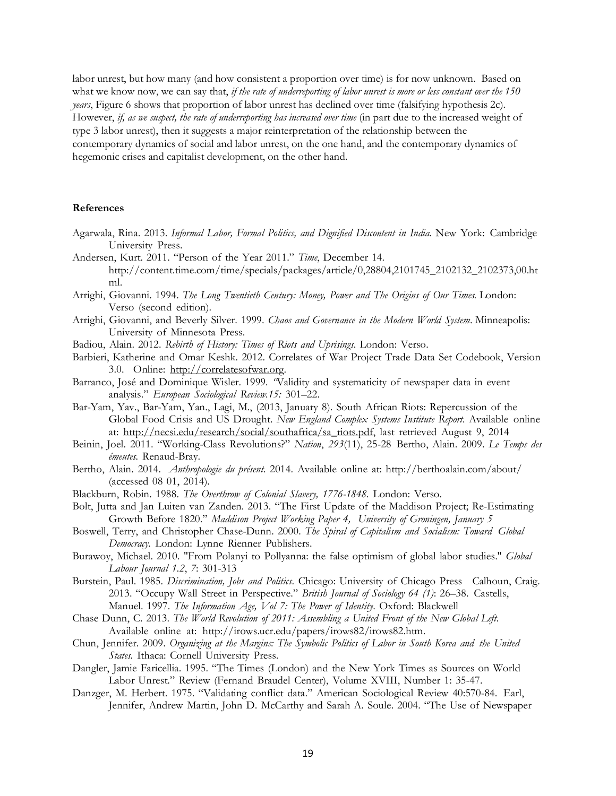labor unrest, but how many (and how consistent a proportion over time) is for now unknown. Based on what we know now, we can say that, *if the rate of underreporting of labor unrest is more or less constant over the* 150 *years*, Figure 6 shows that proportion of labor unrest has declined over time (falsifying hypothesis 2c). However, *if, as we suspect, the rate of underreporting has increased over time* (in part due to the increased weight of type 3 labor unrest), then it suggests a major reinterpretation of the relationship between the contemporary dynamics of social and labor unrest, on the one hand, and the contemporary dynamics of hegemonic crises and capitalist development, on the other hand.

#### **References**

- Agarwala, Rina. 2013. *Informal Labor, Formal Politics, and Dignified Discontent in India.* New York: Cambridge University Press.
- Andersen, Kurt. 2011. "Person of the Year 2011." *Time*, December 14. http://content.time.com/time/specials/packages/article/0,28804,2101745\_2102132\_2102373,00.ht ml.
- Arrighi, Giovanni. 1994. *The Long Twentieth Century: Money, Power and The Origins of Our Times.* London: Verso (second edition).
- Arrighi, Giovanni, and Beverly Silver. 1999. *Chaos and Governance in the Modern World System*. Minneapolis: University of Minnesota Press.
- Badiou, Alain. 2012. *Rebirth of History: Times of Riots and Uprisings*. London: Verso.
- Barbieri, Katherine and Omar Keshk. 2012. Correlates of War Project Trade Data Set Codebook, Version 3.0. Online: http://correlatesofwar.org.
- Barranco, José and Dominique Wisler. 1999*. "*Validity and systematicity of newspaper data in event analysis." *European Sociological Review.15:* 301–22.
- Bar-Yam, Yav., Bar-Yam, Yan., Lagi, M., (2013, January 8). South African Riots: Repercussion of the Global Food Crisis and US Drought. *New England Complex Systems Institute Report.* Available online at: http://necsi.edu/research/social/southafrica/sa\_riots.pdf, last retrieved August 9, 2014
- Beinin, Joel. 2011. "Working-Class Revolutions?" *Nation*, *293*(11), 25-28 Bertho, Alain. 2009. *Le Temps des émeutes.* Renaud-Bray.
- Bertho, Alain. 2014. *Anthropologie du présent.* 2014. Available online at: http://berthoalain.com/about/ (accessed 08 01, 2014).
- Blackburn, Robin. 1988. *The Overthrow of Colonial Slavery, 1776-1848.* London: Verso.
- Bolt, Jutta and Jan Luiten van Zanden. 2013. "The First Update of the Maddison Project; Re-Estimating Growth Before 1820." *Maddison Project Working Paper 4, University of Groningen, January 5*
- Boswell, Terry, and Christopher Chase-Dunn. 2000. *The Spiral of Capitalism and Socialism: Toward Global Democracy.* London: Lynne Rienner Publishers.
- Burawoy, Michael. 2010. "From Polanyi to Pollyanna: the false optimism of global labor studies." *Global Labour Journal 1.2*, *7*: 301-313
- Burstein, Paul. 1985. *Discrimination, Jobs and Politics*. Chicago: University of Chicago Press Calhoun, Craig. 2013. "Occupy Wall Street in Perspective." *British Journal of Sociology 64 (1)*: 26–38. Castells, Manuel. 1997. *The Information Age, Vol 7: The Power of Identity*. Oxford: Blackwell
- Chase Dunn, C. 2013. *The World Revolution of 2011: Assembling a United Front of the New Global Left.*  Available online at: http://irows.ucr.edu/papers/irows82/irows82.htm.
- Chun, Jennifer. 2009. *Organizing at the Margins: The Symbolic Politics of Labor in South Korea and the United States.* Ithaca: Cornell University Press.
- Dangler, Jamie Faricellia. 1995. "The Times (London) and the New York Times as Sources on World Labor Unrest." Review (Fernand Braudel Center), Volume XVIII, Number 1: 35-47.
- Danzger, M. Herbert. 1975. "Validating conflict data." American Sociological Review 40:570-84. Earl, Jennifer, Andrew Martin, John D. McCarthy and Sarah A. Soule. 2004. "The Use of Newspaper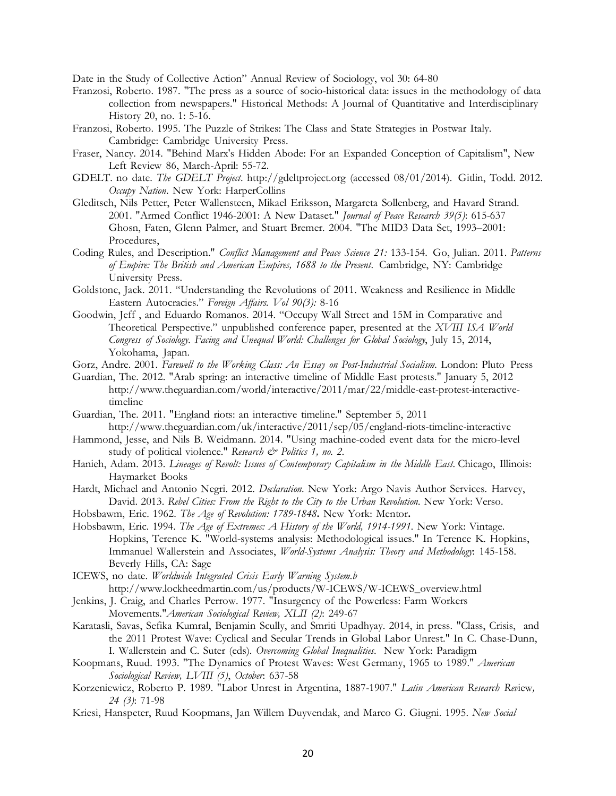Date in the Study of Collective Action" Annual Review of Sociology, vol 30: 64-80

- Franzosi, Roberto. 1987. "The press as a source of socio-historical data: issues in the methodology of data collection from newspapers." Historical Methods: A Journal of Quantitative and Interdisciplinary History 20, no. 1: 5-16.
- Franzosi, Roberto. 1995. The Puzzle of Strikes: The Class and State Strategies in Postwar Italy. Cambridge: Cambridge University Press.
- Fraser, Nancy. 2014. "Behind Marx's Hidden Abode: For an Expanded Conception of Capitalism", New Left Review 86, March-April: 55-72.
- GDELT. no date. *The GDELT Project*. http://gdeltproject.org (accessed 08/01/2014). Gitlin, Todd. 2012. *Occupy Nation*. New York: HarperCollins
- Gleditsch, Nils Petter, Peter Wallensteen, Mikael Eriksson, Margareta Sollenberg, and Havard Strand. 2001. "Armed Conflict 1946-2001: A New Dataset." *Journal of Peace Research 39(5)*: 615-637 Ghosn, Faten, Glenn Palmer, and Stuart Bremer. 2004. "The MID3 Data Set, 1993–2001: Procedures,
- Coding Rules, and Description." *Conflict Management and Peace Science 21:* 133-154. Go, Julian. 2011. *Patterns of Empire: The British and American Empires, 1688 to the Present*. Cambridge, NY: Cambridge University Press.
- Goldstone, Jack. 2011. "Understanding the Revolutions of 2011. Weakness and Resilience in Middle Eastern Autocracies." *Foreign Affairs. Vol 90(3):* 8-16
- Goodwin, Jeff , and Eduardo Romanos. 2014. "Occupy Wall Street and 15M in Comparative and Theoretical Perspective." unpublished conference paper, presented at the *XVIII ISA World Congress of Sociology. Facing and Unequal World: Challenges for Global Sociology*, July 15, 2014, Yokohama, Japan.
- Gorz, Andre. 2001. *Farewell to the Working Class: An Essay on Post-Industrial Socialism.* London: Pluto Press
- Guardian, The. 2012. "Arab spring: an interactive timeline of Middle East protests." January 5, 2012 http://www.theguardian.com/world/interactive/2011/mar/22/middle-east-protest-interactivetimeline
- Guardian, The. 2011. "England riots: an interactive timeline." September 5, 2011 http://www.theguardian.com/uk/interactive/2011/sep/05/england-riots-timeline-interactive
- Hammond, Jesse, and Nils B. Weidmann. 2014. "Using machine-coded event data for the micro-level study of political violence." *Research & Politics 1, no. 2.*
- Hanieh, Adam. 2013. *Lineages of Revolt: Issues of Contemporary Capitalism in the Middle East*. Chicago, Illinois: Haymarket Books
- Hardt, Michael and Antonio Negri. 2012. *Declaration*. New York: Argo Navis Author Services. Harvey, David. 2013. *Rebel Cities: From the Right to the City to the Urban Revolution.* New York: Verso.
- Hobsbawm, Eric. 1962. *The Age of Revolution: 1789-1848***.** New York: Mentor**.**
- Hobsbawm, Eric. 1994. *The Age of Extremes: A History of the World, 1914-1991.* New York: Vintage. Hopkins, Terence K. "World-systems analysis: Methodological issues." In Terence K. Hopkins, Immanuel Wallerstein and Associates, *World-Systems Analysis: Theory and Methodology*: 145-158. Beverly Hills, CA: Sage
- ICEWS, no date. *Worldwide Integrated Crisis Early Warning System.b*  http://www.lockheedmartin.com/us/products/W-ICEWS/W-ICEWS\_overview.html
- Jenkins, J. Craig, and Charles Perrow. 1977. "Insurgency of the Powerless: Farm Workers Movements."*American Sociological Review, XLII (2)*: 249-67
- Karatasli, Savas, Sefika Kumral, Benjamin Scully, and Smriti Upadhyay. 2014, in press. "Class, Crisis, and the 2011 Protest Wave: Cyclical and Secular Trends in Global Labor Unrest." In C. Chase-Dunn, I. Wallerstein and C. Suter (eds). *Overcoming Global Inequalities*. New York: Paradigm
- Koopmans, Ruud. 1993. "The Dynamics of Protest Waves: West Germany, 1965 to 1989." *American Sociological Review, LVIII (5)*, *October*: 637-58
- Korzeniewicz, Roberto P. 1989. "Labor Unrest in Argentina, 1887-1907." *Latin American Research Rev*iew*, 24 (3)*: 71-98
- Kriesi, Hanspeter, Ruud Koopmans, Jan Willem Duyvendak, and Marco G. Giugni. 1995. *New Social*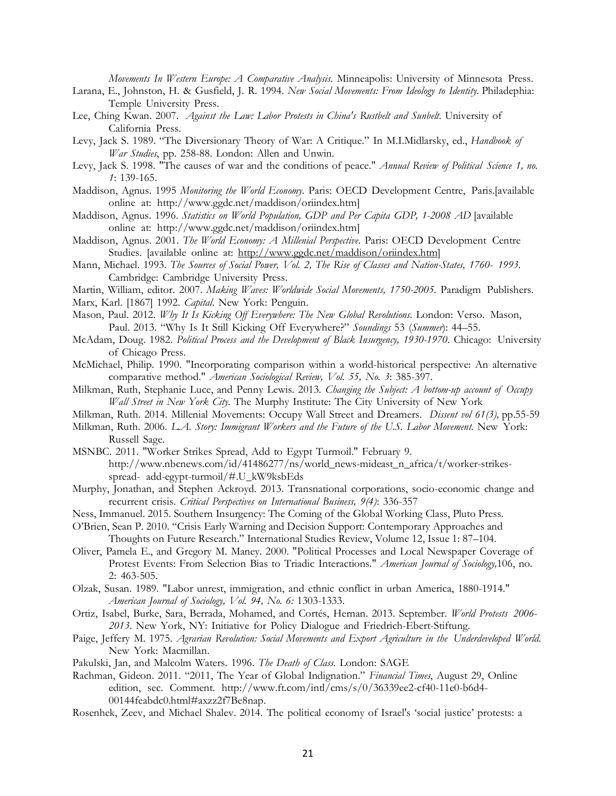*Movements In Western Europe: A Comparative Analysis*. Minneapolis: University of Minnesota Press.

- Larana, E., Johnston, H. & Gusfield, J. R. 1994. *New Social Movements: From Ideology to Identity.* Philadephia: Temple University Press.
- Lee, Ching Kwan. 2007. *Against the Law: Labor Protests in China's Rustbelt and Sunbelt.* University of California Press.
- Levy, Jack S. 1989. "The Diversionary Theory of War: A Critique." In M.I.Midlarsky, ed., *Handbook of War Studies*, pp. 258-88. London: Allen and Unwin.
- Levy, Jack S. 1998. "The causes of war and the conditions of peace." *Annual Review of Political Science 1, no. 1*: 139-165.
- Maddison, Agnus. 1995 *Monitoring the World Economy*. Paris: OECD Development Centre, Paris.[available online at: http://www.ggdc.net/maddison/oriindex.htm]
- Maddison, Agnus. 1996. *Statistics on World Population, GDP and Per Capita GDP, 1-2008 AD* [available online at: http://www.ggdc.net/maddison/oriindex.htm]
- Maddison, Agnus. 2001. *The World Economy: A Millenial Perspective*. Paris: OECD Development Centre Studies. [available online at: http://www.ggdc.net/maddison/oriindex.htm]
- Mann, Michael. 1993. *The Sources of Social Power, Vol. 2, The Rise of Classes and Nation-States, 1760- 1993.* Cambridge: Cambridge University Press.
- Martin, William, editor. 2007. *Making Waves: Worldwide Social Movements, 1750-2005.* Paradigm Publishers.
- Marx, Karl. [1867] 1992. *Capital*. New York: Penguin.
- Mason, Paul. 2012. *Why It Is Kicking Off Everywhere: The New Global Revolutions*. London: Verso. Mason, Paul. 2013. "Why Is It Still Kicking Off Everywhere?" *Soundings* 53 (*Summer*): 44–55.
- McAdam, Doug. 1982. *Political Process and the Development of Black Insurgency, 1930-1970*. Chicago: University of Chicago Press.
- McMichael, Philip. 1990. "Incorporating comparison within a world-historical perspective: An alternative comparative method." *American Sociological Review, Vol. 55, No. 3*: 385-397.
- Milkman, Ruth, Stephanie Luce, and Penny Lewis. 2013. *Changing the Subject: A bottom-up account of Occupy Wall Street in New York City.* The Murphy Institute: The City University of New York
- Milkman, Ruth. 2014. Millenial Movements: Occupy Wall Street and Dreamers. *Dissent vol 61(3),* pp.55-59
- Milkman, Ruth. 2006. *L.A. Story: Immigrant Workers and the Future of the U.S. Labor Movement.* New York: Russell Sage.
- MSNBC. 2011. "Worker Strikes Spread, Add to Egypt Turmoil." February 9. http://www.nbcnews.com/id/41486277/ns/world\_news-mideast\_n\_africa/t/worker-strikesspread- add-egypt-turmoil/#.U\_kW9ksbEds
- Murphy, Jonathan, and Stephen Ackroyd. 2013. Transnational corporations, socio-economic change and recurrent crisis. *Critical Perspectives on International Business, 9(4)*: 336-357
- Ness, Immanuel. 2015. Southern Insurgency: The Coming of the Global Working Class, Pluto Press.
- O'Brien, Sean P. 2010. "Crisis Early Warning and Decision Support: Contemporary Approaches and Thoughts on Future Research." International Studies Review, Volume 12, Issue 1: 87–104.
- Oliver, Pamela E., and Gregory M. Maney. 2000. "Political Processes and Local Newspaper Coverage of Protest Events: From Selection Bias to Triadic Interactions." *American Journal of Sociology,*106, no. 2: 463-505.
- Olzak, Susan. 1989. "Labor unrest, immigration, and ethnic conflict in urban America, 1880-1914." *American Journal of Sociology, Vol. 94, No. 6:* 1303-1333.
- Ortiz, Isabel, Burke, Sara, Berrada, Mohamed, and Cortés, Hernan. 2013. September. *World Protests 2006- 2013*. New York, NY: Initiative for Policy Dialogue and Friedrich-Ebert-Stiftung.
- Paige, Jeffery M. 1975. *Agrarian Revolution: Social Movements and Export Agriculture in the Underdeveloped World.* New York: Macmillan.
- Pakulski, Jan, and Malcolm Waters. 1996. *The Death of Class*. London: SAGE
- Rachman, Gideon. 2011. "2011, The Year of Global Indignation." *Financial Times*, August 29, Online edition, sec. Comment. http://www.ft.com/intl/cms/s/0/36339ee2-cf40-11e0-b6d4-00144feabdc0.html#axzz2f7Be8nap.
- Rosenhek, Zeev, and Michael Shalev. 2014. The political economy of Israel's 'social justice' protests: a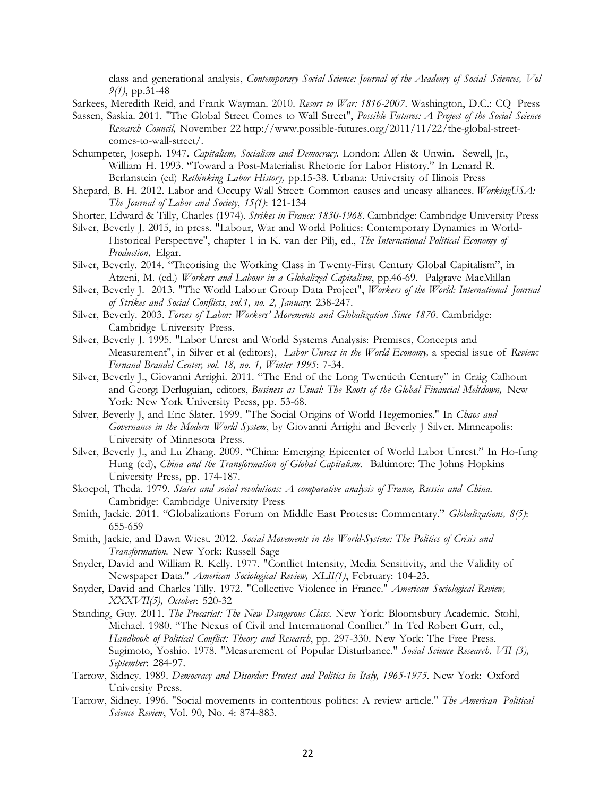class and generational analysis, *Contemporary Social Science: Journal of the Academy of Social Sciences, Vol 9(1)*, pp.31-48

Sarkees, Meredith Reid, and Frank Wayman. 2010. *Resort to War: 1816-2007*. Washington, D.C.: CQ Press

- Sassen, Saskia. 2011. "The Global Street Comes to Wall Street", *Possible Futures: A Project of the Social Science Research Council,* November 22 http://www.possible-futures.org/2011/11/22/the-global-streetcomes-to-wall-street/.
- Schumpeter, Joseph. 1947. *Capitalism, Socialism and Democracy.* London: Allen & Unwin. Sewell, Jr., William H. 1993. "Toward a Post-Materialist Rhetoric for Labor History." In Lenard R. Berlanstein (ed) *Rethinking Labor History,* pp.15-38. Urbana: University of Ilinois Press
- Shepard, B. H. 2012. Labor and Occupy Wall Street: Common causes and uneasy alliances. *WorkingUSA: The Journal of Labor and Society*, *15(1)*: 121-134
- Shorter, Edward & Tilly, Charles (1974). *Strikes in France: 1830-1968.* Cambridge: Cambridge University Press
- Silver, Beverly J. 2015, in press. "Labour, War and World Politics: Contemporary Dynamics in World-Historical Perspective", chapter 1 in K. van der Pilj, ed., *The International Political Economy of Production,* Elgar.
- Silver, Beverly. 2014. "Theorising the Working Class in Twenty-First Century Global Capitalism", in Atzeni, M. (ed.) *Workers and Labour in a Globalized Capitalism*, pp.46-69. Palgrave MacMillan
- Silver, Beverly J. 2013. "The World Labour Group Data Project", *Workers of the World: International Journal of Strikes and Social Conflicts*, *vol.1, no. 2, January*: 238-247.
- Silver, Beverly. 2003. *Forces of Labor: Workers' Movements and Globalization Since 1870*. Cambridge: Cambridge University Press.
- Silver, Beverly J. 1995. "Labor Unrest and World Systems Analysis: Premises, Concepts and Measurement", in Silver et al (editors), *Labor Unrest in the World Economy,* a special issue of *Review: Fernand Braudel Center, vol. 18, no. 1, Winter 1995*: 7-34.
- Silver, Beverly J., Giovanni Arrighi. 2011. "The End of the Long Twentieth Century" in Craig Calhoun and Georgi Derluguian, editors, *Business as Usual: The Roots of the Global Financial Meltdown,* New York: New York University Press, pp. 53-68.
- Silver, Beverly J, and Eric Slater. 1999. "The Social Origins of World Hegemonies." In *Chaos and Governance in the Modern World System*, by Giovanni Arrighi and Beverly J Silver. Minneapolis: University of Minnesota Press.
- Silver, Beverly J., and Lu Zhang. 2009. "China: Emerging Epicenter of World Labor Unrest." In Ho-fung Hung (ed), *China and the Transformation of Global Capitalism.* Baltimore: The Johns Hopkins University Press*,* pp. 174-187.
- Skocpol, Theda. 1979. *States and social revolutions: A comparative analysis of France, Russia and China.* Cambridge: Cambridge University Press
- Smith, Jackie. 2011. "Globalizations Forum on Middle East Protests: Commentary." *Globalizations, 8(5)*: 655-659
- Smith, Jackie, and Dawn Wiest. 2012. *Social Movements in the World-System: The Politics of Crisis and Transformation.* New York: Russell Sage
- Snyder, David and William R. Kelly. 1977. "Conflict Intensity, Media Sensitivity, and the Validity of Newspaper Data." *American Sociological Review, XLII(1)*, February: 104-23.
- Snyder, David and Charles Tilly. 1972. "Collective Violence in France." *American Sociological Review, XXXVII(5), October*: 520-32
- Standing, Guy. 2011. *The Precariat: The New Dangerous Class*. New York: Bloomsbury Academic. Stohl, Michael. 1980. "The Nexus of Civil and International Conflict." In Ted Robert Gurr, ed., *Handbook of Political Conflict: Theory and Research*, pp. 297-330. New York: The Free Press. Sugimoto, Yoshio. 1978. "Measurement of Popular Disturbance." *Social Science Research, VII (3), September*: 284-97.
- Tarrow, Sidney. 1989. *Democracy and Disorder: Protest and Politics in Italy, 1965-1975.* New York: Oxford University Press.
- Tarrow, Sidney. 1996. "Social movements in contentious politics: A review article." *The American Political Science Review*, Vol. 90, No. 4: 874-883.